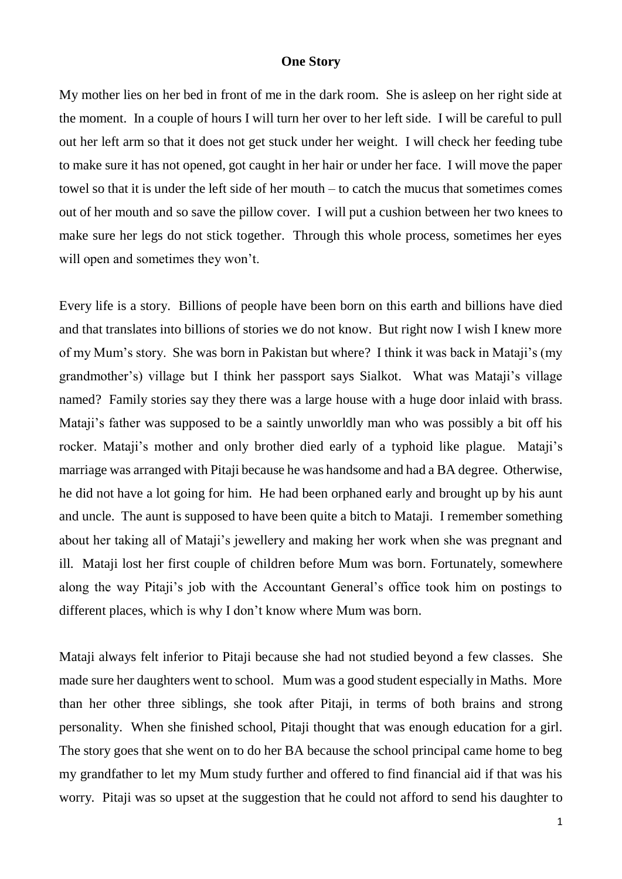## **One Story**

My mother lies on her bed in front of me in the dark room. She is asleep on her right side at the moment. In a couple of hours I will turn her over to her left side. I will be careful to pull out her left arm so that it does not get stuck under her weight. I will check her feeding tube to make sure it has not opened, got caught in her hair or under her face. I will move the paper towel so that it is under the left side of her mouth – to catch the mucus that sometimes comes out of her mouth and so save the pillow cover. I will put a cushion between her two knees to make sure her legs do not stick together. Through this whole process, sometimes her eyes will open and sometimes they won't.

Every life is a story. Billions of people have been born on this earth and billions have died and that translates into billions of stories we do not know. But right now I wish I knew more of my Mum's story. She was born in Pakistan but where? I think it was back in Mataji's (my grandmother's) village but I think her passport says Sialkot. What was Mataji's village named? Family stories say they there was a large house with a huge door inlaid with brass. Mataji's father was supposed to be a saintly unworldly man who was possibly a bit off his rocker. Mataji's mother and only brother died early of a typhoid like plague. Mataji's marriage was arranged with Pitaji because he was handsome and had a BA degree. Otherwise, he did not have a lot going for him. He had been orphaned early and brought up by his aunt and uncle. The aunt is supposed to have been quite a bitch to Mataji. I remember something about her taking all of Mataji's jewellery and making her work when she was pregnant and ill. Mataji lost her first couple of children before Mum was born. Fortunately, somewhere along the way Pitaji's job with the Accountant General's office took him on postings to different places, which is why I don't know where Mum was born.

Mataji always felt inferior to Pitaji because she had not studied beyond a few classes. She made sure her daughters went to school. Mum was a good student especially in Maths. More than her other three siblings, she took after Pitaji, in terms of both brains and strong personality. When she finished school, Pitaji thought that was enough education for a girl. The story goes that she went on to do her BA because the school principal came home to beg my grandfather to let my Mum study further and offered to find financial aid if that was his worry. Pitaji was so upset at the suggestion that he could not afford to send his daughter to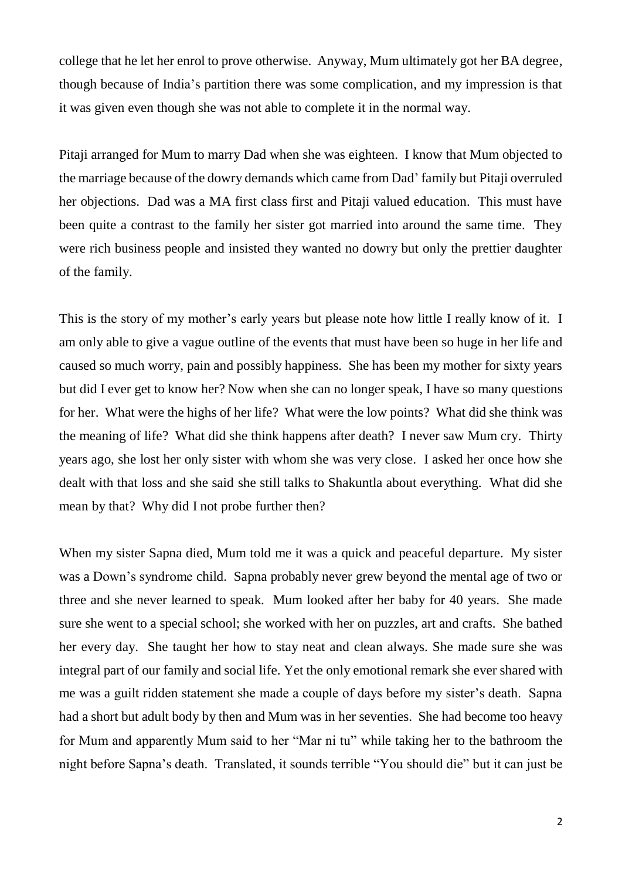college that he let her enrol to prove otherwise. Anyway, Mum ultimately got her BA degree, though because of India's partition there was some complication, and my impression is that it was given even though she was not able to complete it in the normal way.

Pitaji arranged for Mum to marry Dad when she was eighteen. I know that Mum objected to the marriage because of the dowry demands which came from Dad' family but Pitaji overruled her objections. Dad was a MA first class first and Pitaji valued education. This must have been quite a contrast to the family her sister got married into around the same time. They were rich business people and insisted they wanted no dowry but only the prettier daughter of the family.

This is the story of my mother's early years but please note how little I really know of it. I am only able to give a vague outline of the events that must have been so huge in her life and caused so much worry, pain and possibly happiness. She has been my mother for sixty years but did I ever get to know her? Now when she can no longer speak, I have so many questions for her. What were the highs of her life? What were the low points? What did she think was the meaning of life? What did she think happens after death? I never saw Mum cry. Thirty years ago, she lost her only sister with whom she was very close. I asked her once how she dealt with that loss and she said she still talks to Shakuntla about everything. What did she mean by that? Why did I not probe further then?

When my sister Sapna died, Mum told me it was a quick and peaceful departure. My sister was a Down's syndrome child. Sapna probably never grew beyond the mental age of two or three and she never learned to speak. Mum looked after her baby for 40 years. She made sure she went to a special school; she worked with her on puzzles, art and crafts. She bathed her every day. She taught her how to stay neat and clean always. She made sure she was integral part of our family and social life. Yet the only emotional remark she ever shared with me was a guilt ridden statement she made a couple of days before my sister's death. Sapna had a short but adult body by then and Mum was in her seventies. She had become too heavy for Mum and apparently Mum said to her "Mar ni tu" while taking her to the bathroom the night before Sapna's death. Translated, it sounds terrible "You should die" but it can just be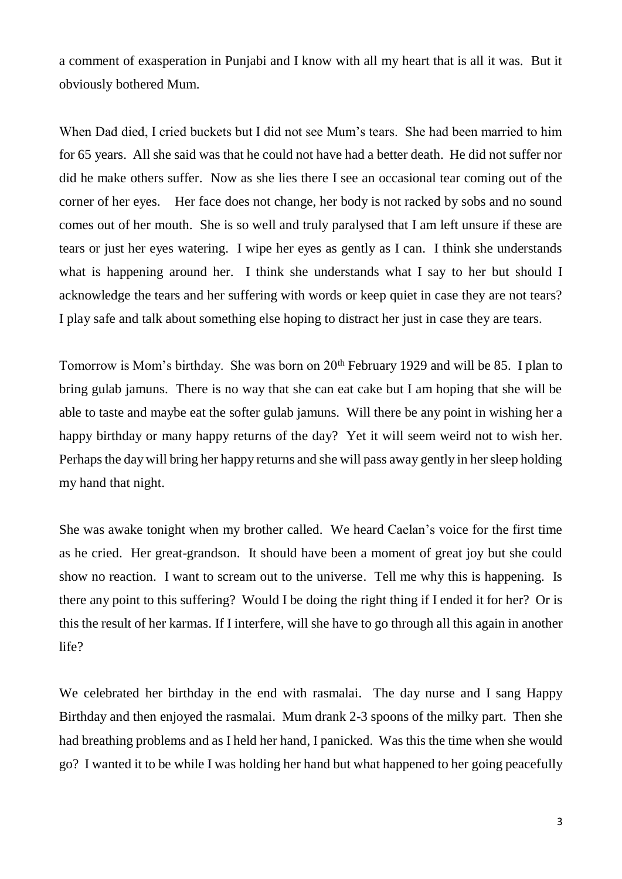a comment of exasperation in Punjabi and I know with all my heart that is all it was. But it obviously bothered Mum.

When Dad died, I cried buckets but I did not see Mum's tears. She had been married to him for 65 years. All she said was that he could not have had a better death. He did not suffer nor did he make others suffer. Now as she lies there I see an occasional tear coming out of the corner of her eyes. Her face does not change, her body is not racked by sobs and no sound comes out of her mouth. She is so well and truly paralysed that I am left unsure if these are tears or just her eyes watering. I wipe her eyes as gently as I can. I think she understands what is happening around her. I think she understands what I say to her but should I acknowledge the tears and her suffering with words or keep quiet in case they are not tears? I play safe and talk about something else hoping to distract her just in case they are tears.

Tomorrow is Mom's birthday. She was born on 20<sup>th</sup> February 1929 and will be 85. I plan to bring gulab jamuns. There is no way that she can eat cake but I am hoping that she will be able to taste and maybe eat the softer gulab jamuns. Will there be any point in wishing her a happy birthday or many happy returns of the day? Yet it will seem weird not to wish her. Perhaps the day will bring her happy returns and she will pass away gently in her sleep holding my hand that night.

She was awake tonight when my brother called. We heard Caelan's voice for the first time as he cried. Her great-grandson. It should have been a moment of great joy but she could show no reaction. I want to scream out to the universe. Tell me why this is happening. Is there any point to this suffering? Would I be doing the right thing if I ended it for her? Or is this the result of her karmas. If I interfere, will she have to go through all this again in another life?

We celebrated her birthday in the end with rasmalai. The day nurse and I sang Happy Birthday and then enjoyed the rasmalai. Mum drank 2-3 spoons of the milky part. Then she had breathing problems and as I held her hand, I panicked. Was this the time when she would go? I wanted it to be while I was holding her hand but what happened to her going peacefully